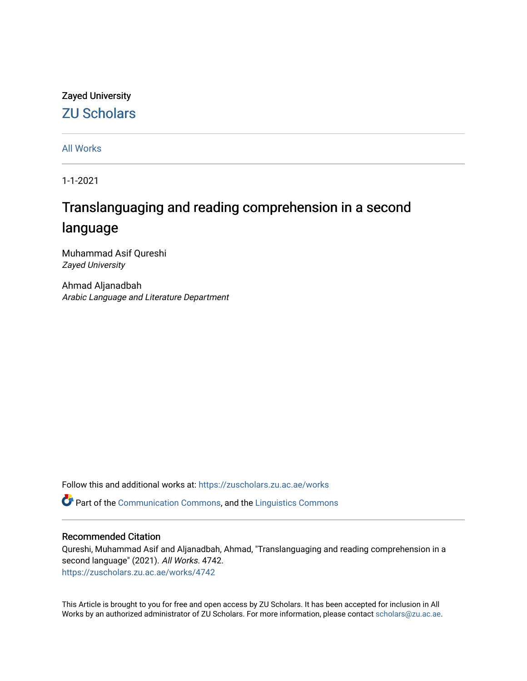## Zayed University [ZU Scholars](https://zuscholars.zu.ac.ae/)

[All Works](https://zuscholars.zu.ac.ae/works)

1-1-2021

# Translanguaging and reading comprehension in a second language

Muhammad Asif Qureshi Zayed University

Ahmad Aljanadbah Arabic Language and Literature Department

Follow this and additional works at: [https://zuscholars.zu.ac.ae/works](https://zuscholars.zu.ac.ae/works?utm_source=zuscholars.zu.ac.ae%2Fworks%2F4742&utm_medium=PDF&utm_campaign=PDFCoverPages)

**Part of the [Communication Commons,](http://network.bepress.com/hgg/discipline/325?utm_source=zuscholars.zu.ac.ae%2Fworks%2F4742&utm_medium=PDF&utm_campaign=PDFCoverPages) and the [Linguistics Commons](http://network.bepress.com/hgg/discipline/371?utm_source=zuscholars.zu.ac.ae%2Fworks%2F4742&utm_medium=PDF&utm_campaign=PDFCoverPages)** 

### Recommended Citation

Qureshi, Muhammad Asif and Aljanadbah, Ahmad, "Translanguaging and reading comprehension in a second language" (2021). All Works. 4742. [https://zuscholars.zu.ac.ae/works/4742](https://zuscholars.zu.ac.ae/works/4742?utm_source=zuscholars.zu.ac.ae%2Fworks%2F4742&utm_medium=PDF&utm_campaign=PDFCoverPages)

This Article is brought to you for free and open access by ZU Scholars. It has been accepted for inclusion in All Works by an authorized administrator of ZU Scholars. For more information, please contact [scholars@zu.ac.ae](mailto:scholars@zu.ac.ae).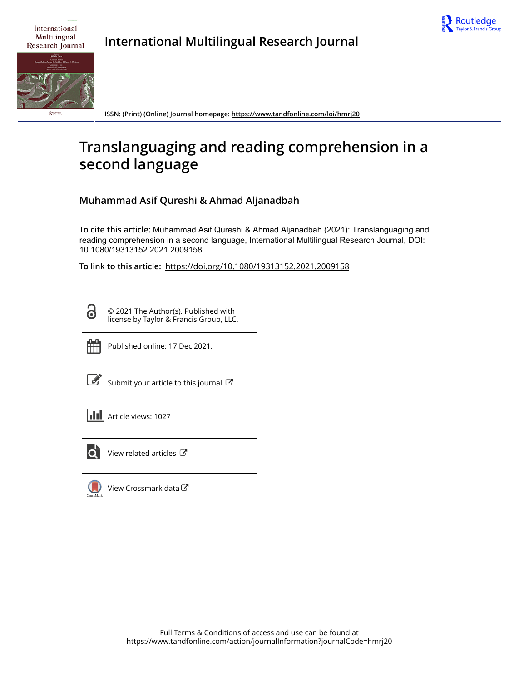

International Multilingual Research Journal

**International Multilingual Research Journal**



**ISSN: (Print) (Online) Journal homepage:<https://www.tandfonline.com/loi/hmrj20>**

# **Translanguaging and reading comprehension in a second language**

**Muhammad Asif Qureshi & Ahmad Aljanadbah**

**To cite this article:** Muhammad Asif Qureshi & Ahmad Aljanadbah (2021): Translanguaging and reading comprehension in a second language, International Multilingual Research Journal, DOI: [10.1080/19313152.2021.2009158](https://www.tandfonline.com/action/showCitFormats?doi=10.1080/19313152.2021.2009158)

**To link to this article:** <https://doi.org/10.1080/19313152.2021.2009158>

Ō

© 2021 The Author(s). Published with license by Taylor & Francis Group, LLC.



Published online: 17 Dec 2021.

[Submit your article to this journal](https://www.tandfonline.com/action/authorSubmission?journalCode=hmrj20&show=instructions)  $\mathbb{Z}$ 

**III** Article views: 1027



 $\overline{Q}$  [View related articles](https://www.tandfonline.com/doi/mlt/10.1080/19313152.2021.2009158)  $\overline{C}$ 

[View Crossmark data](http://crossmark.crossref.org/dialog/?doi=10.1080/19313152.2021.2009158&domain=pdf&date_stamp=2021-12-17) $\mathbb{Z}$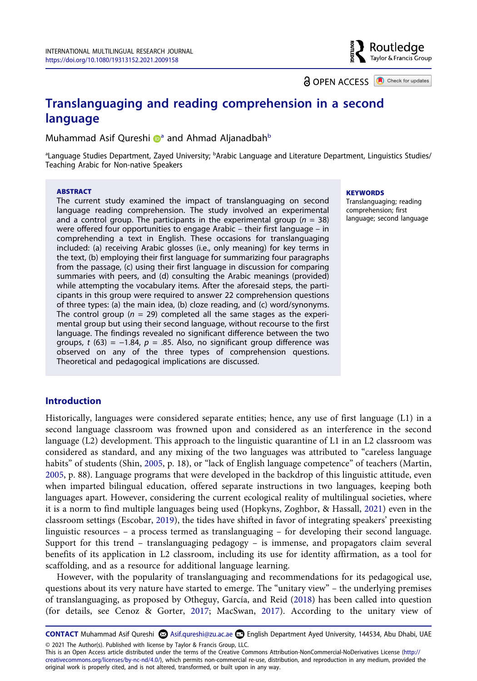**a** OPEN ACCESS **a** Check for updates

Routledge Taylor & Francis Group

## **Translanguaging and reading comprehension in a second language**

Muh[a](#page-2-0)mmad Asif Qureshi **a** and Ahmad Aljanad[b](#page-2-0)ah<sup>b</sup>

<span id="page-2-0"></span><sup>a</sup>Language Studies Department, Zayed University; <sup>b</sup>Arabic Language and Literature Department, Linguistics Studies/ Teaching Arabic for Non-native Speakers

#### **ABSTRACT**

The current study examined the impact of translanguaging on second language reading comprehension. The study involved an experimental and a control group. The participants in the experimental group  $(n = 38)$ were offered four opportunities to engage Arabic – their first language – in comprehending a text in English. These occasions for translanguaging included: (a) receiving Arabic glosses (i.e., only meaning) for key terms in the text, (b) employing their first language for summarizing four paragraphs from the passage, (c) using their first language in discussion for comparing summaries with peers, and (d) consulting the Arabic meanings (provided) while attempting the vocabulary items. After the aforesaid steps, the participants in this group were required to answer 22 comprehension questions of three types: (a) the main idea, (b) cloze reading, and (c) word/synonyms. The control group ( $n = 29$ ) completed all the same stages as the experimental group but using their second language, without recourse to the first language. The findings revealed no significant difference between the two groups, *t* (63) = −1.84, *p* = .85. Also, no significant group difference was observed on any of the three types of comprehension questions. Theoretical and pedagogical implications are discussed.

#### **KEYWORDS**

Translanguaging; reading comprehension; first language; second language

#### **Introduction**

<span id="page-2-4"></span>Historically, languages were considered separate entities; hence, any use of first language (L1) in a second language classroom was frowned upon and considered as an interference in the second language (L2) development. This approach to the linguistic quarantine of L1 in an L2 classroom was considered as standard, and any mixing of the two languages was attributed to "careless language habits" of students (Shin, [2005,](#page-12-0) p. 18), or "lack of English language competence" of teachers (Martin, [2005](#page-12-1), p. 88). Language programs that were developed in the backdrop of this linguistic attitude, even when imparted bilingual education, offered separate instructions in two languages, keeping both languages apart. However, considering the current ecological reality of multilingual societies, where it is a norm to find multiple languages being used (Hopkyns, Zoghbor, & Hassall, [2021](#page-11-0)) even in the classroom settings (Escobar, [2019](#page-11-1)), the tides have shifted in favor of integrating speakers' preexisting linguistic resources – a process termed as translanguaging – for developing their second language. Support for this trend – translanguaging pedagogy – is immense, and propagators claim several benefits of its application in L2 classroom, including its use for identity affirmation, as a tool for scaffolding, and as a resource for additional language learning.

<span id="page-2-5"></span><span id="page-2-3"></span><span id="page-2-2"></span>However, with the popularity of translanguaging and recommendations for its pedagogical use, questions about its very nature have started to emerge. The "unitary view" – the underlying premises of translanguaging, as proposed by Otheguy, García, and Reid [\(2018\)](#page-12-2) has been called into question (for details, see Cenoz & Gorter, [2017;](#page-11-2) MacSwan, [2017](#page-12-3)). According to the unitary view of

<span id="page-2-1"></span>**CONTACT** Muhammad Asif Qureshi  $\odot$  Asif.qureshi@zu.ac.ae  $\odot$  English Department Ayed University, 144534, Abu Dhabi, UAE © 2021 The Author(s). Published with license by Taylor & Francis Group, LLC.

This is an Open Access article distributed under the terms of the Creative Commons Attribution-NonCommercial-NoDerivatives License (http:// creativecommons.org/licenses/by-nc-nd/4.0/), which permits non-commercial re-use, distribution, and reproduction in any medium, provided the original work is properly cited, and is not altered, transformed, or built upon in any way.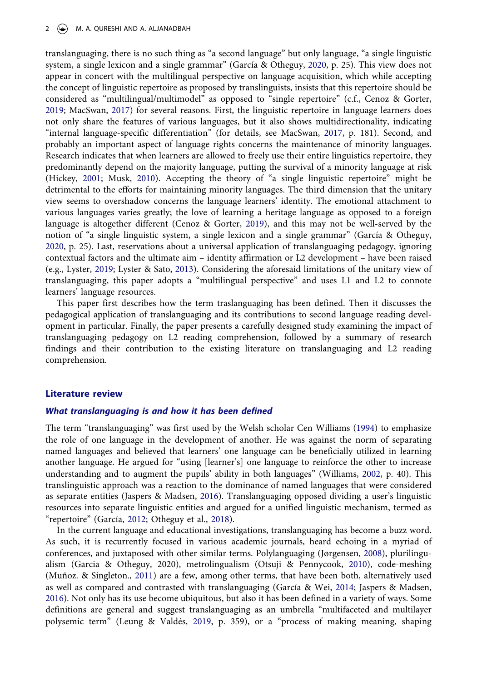#### 2  $\left(\rightarrow\right)$  M. A. QURESHI AND A. ALJANADBAH

<span id="page-3-4"></span>translanguaging, there is no such thing as "a second language" but only language, "a single linguistic system, a single lexicon and a single grammar" (García & Otheguy, [2020,](#page-11-3) p. 25). This view does not appear in concert with the multilingual perspective on language acquisition, which while accepting the concept of linguistic repertoire as proposed by translinguists, insists that this repertoire should be considered as "multilingual/multimodel" as opposed to "single repertoire" (c.f., Cenoz & Gorter, [2019](#page-11-4); MacSwan, [2017](#page-12-3)) for several reasons. First, the linguistic repertoire in language learners does not only share the features of various languages, but it also shows multidirectionality, indicating "internal language-specific differentiation" (for details, see MacSwan, [2017,](#page-12-3) p. 181). Second, and probably an important aspect of language rights concerns the maintenance of minority languages. Research indicates that when learners are allowed to freely use their entire linguistics repertoire, they predominantly depend on the majority language, putting the survival of a minority language at risk (Hickey, [2001;](#page-11-5) Musk, [2010\)](#page-12-4). Accepting the theory of "a single linguistic repertoire" might be detrimental to the efforts for maintaining minority languages. The third dimension that the unitary view seems to overshadow concerns the language learners' identity. The emotional attachment to various languages varies greatly; the love of learning a heritage language as opposed to a foreign language is altogether different (Cenoz & Gorter, [2019\)](#page-11-4), and this may not be well-served by the notion of "a single linguistic system, a single lexicon and a single grammar" (García & Otheguy, [2020](#page-11-3), p. 25). Last, reservations about a universal application of translanguaging pedagogy, ignoring contextual factors and the ultimate aim – identity affirmation or L2 development – have been raised (e.g., Lyster, [2019](#page-12-5); Lyster & Sato, [2013](#page-12-6)). Considering the aforesaid limitations of the unitary view of translanguaging, this paper adopts a "multilingual perspective" and uses L1 and L2 to connote learners' language resources.

<span id="page-3-7"></span><span id="page-3-1"></span><span id="page-3-0"></span>This paper first describes how the term traslanguaging has been defined. Then it discusses the pedagogical application of translanguaging and its contributions to second language reading development in particular. Finally, the paper presents a carefully designed study examining the impact of translanguaging pedagogy on L2 reading comprehension, followed by a summary of research findings and their contribution to the existing literature on translanguaging and L2 reading comprehension.

#### **Literature review**

#### *What translanguaging is and how it has been defined*

<span id="page-3-11"></span><span id="page-3-10"></span>The term "translanguaging" was first used by the Welsh scholar Cen Williams ([1994\)](#page-12-7) to emphasize the role of one language in the development of another. He was against the norm of separating named languages and believed that learners' one language can be beneficially utilized in learning another language. He argued for "using [learner's] one language to reinforce the other to increase understanding and to augment the pupils' ability in both languages" (Williams, [2002,](#page-12-8) p. 40). This translinguistic approach was a reaction to the dominance of named languages that were considered as separate entities (Jaspers & Madsen, [2016\)](#page-11-6). Translanguaging opposed dividing a user's linguistic resources into separate linguistic entities and argued for a unified linguistic mechanism, termed as "repertoire" (García, [2012](#page-11-7); Otheguy et al., [2018](#page-12-2)).

<span id="page-3-9"></span><span id="page-3-8"></span><span id="page-3-6"></span><span id="page-3-5"></span><span id="page-3-3"></span><span id="page-3-2"></span>In the current language and educational investigations, translanguaging has become a buzz word. As such, it is recurrently focused in various academic journals, heard echoing in a myriad of conferences, and juxtaposed with other similar terms. Polylanguaging (Jørgensen, [2008](#page-11-8)), plurilingualism (Garcia & Otheguy, 2020), metrolingualism (Otsuji & Pennycook, [2010\)](#page-12-9), code-meshing (Muñoz. & Singleton., [2011\)](#page-12-10) are a few, among other terms, that have been both, alternatively used as well as compared and contrasted with translanguaging (García & Wei, [2014;](#page-11-9) Jaspers & Madsen, [2016](#page-11-6)). Not only has its use become ubiquitous, but also it has been defined in a variety of ways. Some definitions are general and suggest translanguaging as an umbrella "multifaceted and multilayer polysemic term" (Leung & Valdés, [2019](#page-12-11), p. 359), or a "process of making meaning, shaping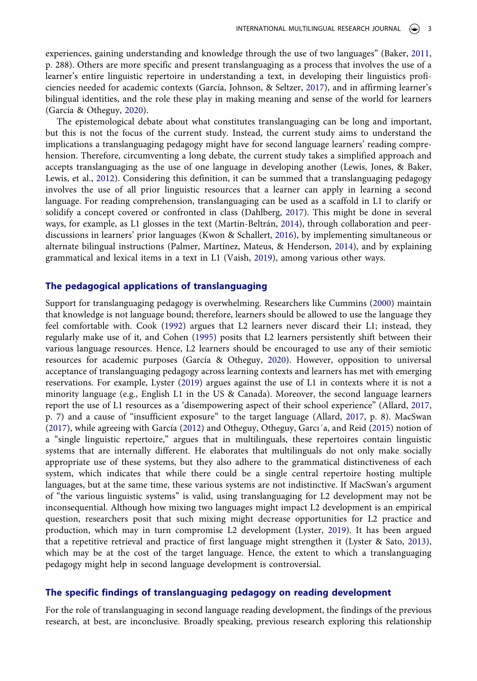<span id="page-4-6"></span><span id="page-4-1"></span>experiences, gaining understanding and knowledge through the use of two languages" (Baker, [2011,](#page-10-0) p. 288). Others are more specific and present translanguaging as a process that involves the use of a learner's entire linguistic repertoire in understanding a text, in developing their linguistics proficiencies needed for academic contexts (García, Johnson, & Seltzer, [2017\)](#page-11-10), and in affirming learner's bilingual identities, and the role these play in making meaning and sense of the world for learners (García & Otheguy, [2020](#page-11-3)).

<span id="page-4-8"></span>The epistemological debate about what constitutes translanguaging can be long and important, but this is not the focus of the current study. Instead, the current study aims to understand the implications a translanguaging pedagogy might have for second language learners' reading comprehension. Therefore, circumventing a long debate, the current study takes a simplified approach and accepts translanguaging as the use of one language in developing another (Lewis, Jones, & Baker, Lewis, et al., [2012\)](#page-12-12). Considering this definition, it can be summed that a translanguaging pedagogy involves the use of all prior linguistic resources that a learner can apply in learning a second language. For reading comprehension, translanguaging can be used as a scaffold in L1 to clarify or solidify a concept covered or confronted in class (Dahlberg, [2017\)](#page-11-11). This might be done in several ways, for example, as L1 glosses in the text (Martin-Beltrán, [2014\)](#page-12-13), through collaboration and peerdiscussions in learners' prior languages (Kwon & Schallert, [2016\)](#page-11-12), by implementing simultaneous or alternate bilingual instructions (Palmer, Martínez, Mateus, & Henderson, [2014\)](#page-12-14), and by explaining grammatical and lexical items in a text in L1 (Vaish, [2019\)](#page-12-15), among various other ways.

#### <span id="page-4-12"></span><span id="page-4-11"></span><span id="page-4-9"></span><span id="page-4-7"></span><span id="page-4-5"></span>**The pedagogical applications of translanguaging**

<span id="page-4-10"></span><span id="page-4-4"></span><span id="page-4-3"></span><span id="page-4-2"></span><span id="page-4-0"></span>Support for translanguaging pedagogy is overwhelming. Researchers like Cummins [\(2000](#page-11-13)) maintain that knowledge is not language bound; therefore, learners should be allowed to use the language they feel comfortable with. Cook ([1992\)](#page-11-14) argues that L2 learners never discard their L1; instead, they regularly make use of it, and Cohen [\(1995](#page-11-15)) posits that L2 learners persistently shift between their various language resources. Hence, L2 learners should be encouraged to use any of their semiotic resources for academic purposes (García & Otheguy, [2020](#page-11-3)). However, opposition to universal acceptance of translanguaging pedagogy across learning contexts and learners has met with emerging reservations. For example, Lyster [\(2019\)](#page-12-5) argues against the use of L1 in contexts where it is not a minority language (e.g., English L1 in the US & Canada). Moreover, the second language learners report the use of L1 resources as a 'disempowering aspect of their school experience" (Allard, [2017,](#page-10-1) p. 7) and a cause of "insufficient exposure" to the target language (Allard, [2017,](#page-10-1) p. 8). MacSwan [\(2017\)](#page-12-3), while agreeing with García [\(2012](#page-11-7)) and Otheguy, Otheguy, Garcı´a, and Reid [\(2015](#page-12-16)) notion of a "single linguistic repertoire," argues that in multilinguals, these repertoires contain linguistic systems that are internally different. He elaborates that multilinguals do not only make socially appropriate use of these systems, but they also adhere to the grammatical distinctiveness of each system, which indicates that while there could be a single central repertoire hosting multiple languages, but at the same time, these various systems are not indistinctive. If MacSwan's argument of "the various linguistic systems" is valid, using translanguaging for L2 development may not be inconsequential. Although how mixing two languages might impact L2 development is an empirical question, researchers posit that such mixing might decrease opportunities for L2 practice and production, which may in turn compromise L2 development (Lyster, [2019\)](#page-12-5). It has been argued that a repetitive retrieval and practice of first language might strengthen it (Lyster & Sato, [2013](#page-12-6)), which may be at the cost of the target language. Hence, the extent to which a translanguaging pedagogy might help in second language development is controversial.

#### **The specific findings of translanguaging pedagogy on reading development**

For the role of translanguaging in second language reading development, the findings of the previous research, at best, are inconclusive. Broadly speaking, previous research exploring this relationship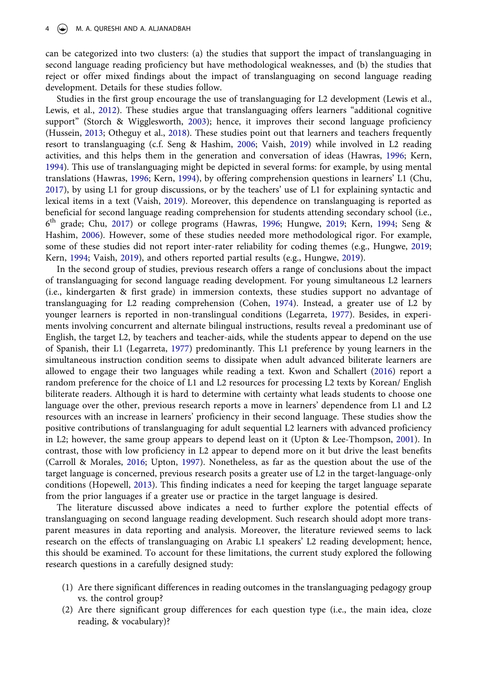can be categorized into two clusters: (a) the studies that support the impact of translanguaging in second language reading proficiency but have methodological weaknesses, and (b) the studies that reject or offer mixed findings about the impact of translanguaging on second language reading development. Details for these studies follow.

<span id="page-5-8"></span><span id="page-5-5"></span>Studies in the first group encourage the use of translanguaging for L2 development (Lewis et al., Lewis, et al., [2012](#page-12-12)). These studies argue that translanguaging offers learners "additional cognitive support" (Storch & Wigglesworth, [2003](#page-12-17)); hence, it improves their second language proficiency (Hussein, [2013;](#page-11-16) Otheguy et al., [2018](#page-12-2)). These studies point out that learners and teachers frequently resort to translanguaging (c.f. Seng & Hashim, [2006;](#page-12-18) Vaish, [2019\)](#page-12-15) while involved in L2 reading activities, and this helps them in the generation and conversation of ideas (Hawras, [1996](#page-11-17); Kern, [1994](#page-11-18)). This use of translanguaging might be depicted in several forms: for example, by using mental translations (Hawras, [1996](#page-11-17); Kern, [1994](#page-11-18)), by offering comprehension questions in learners' L1 (Chu, [2017](#page-11-19)), by using L1 for group discussions, or by the teachers' use of L1 for explaining syntactic and lexical items in a text (Vaish, [2019\)](#page-12-15). Moreover, this dependence on translanguaging is reported as beneficial for second language reading comprehension for students attending secondary school (i.e., 6th grade; Chu, [2017](#page-11-19)) or college programs (Hawras, [1996;](#page-11-17) Hungwe, [2019;](#page-11-20) Kern, [1994;](#page-11-18) Seng & Hashim, [2006](#page-12-18)). However, some of these studies needed more methodological rigor. For example, some of these studies did not report inter-rater reliability for coding themes (e.g., Hungwe, [2019;](#page-11-20) Kern, [1994;](#page-11-18) Vaish, [2019](#page-12-15)), and others reported partial results (e.g., Hungwe, [2019\)](#page-11-20).

<span id="page-5-7"></span><span id="page-5-6"></span><span id="page-5-4"></span><span id="page-5-2"></span><span id="page-5-1"></span>In the second group of studies, previous research offers a range of conclusions about the impact of translanguaging for second language reading development. For young simultaneous L2 learners (i.e., kindergarten & first grade) in immersion contexts, these studies support no advantage of translanguaging for L2 reading comprehension (Cohen, [1974\)](#page-11-21). Instead, a greater use of L2 by younger learners is reported in non-translingual conditions (Legarreta, [1977](#page-11-22)). Besides, in experiments involving concurrent and alternate bilingual instructions, results reveal a predominant use of English, the target L2, by teachers and teacher-aids, while the students appear to depend on the use of Spanish, their L1 (Legarreta, [1977\)](#page-11-22) predominantly. This L1 preference by young learners in the simultaneous instruction condition seems to dissipate when adult advanced biliterate learners are allowed to engage their two languages while reading a text. Kwon and Schallert [\(2016\)](#page-11-12) report a random preference for the choice of L1 and L2 resources for processing L2 texts by Korean/ English biliterate readers. Although it is hard to determine with certainty what leads students to choose one language over the other, previous research reports a move in learners' dependence from L1 and L2 resources with an increase in learners' proficiency in their second language. These studies show the positive contributions of translanguaging for adult sequential L2 learners with advanced proficiency in L2; however, the same group appears to depend least on it (Upton & Lee-Thompson, [2001\)](#page-12-19). In contrast, those with low proficiency in L2 appear to depend more on it but drive the least benefits (Carroll & Morales, [2016](#page-10-2); Upton, [1997](#page-12-20)). Nonetheless, as far as the question about the use of the target language is concerned, previous research posits a greater use of L2 in the target-language-only conditions (Hopewell, [2013\)](#page-11-23). This finding indicates a need for keeping the target language separate from the prior languages if a greater use or practice in the target language is desired.

<span id="page-5-9"></span><span id="page-5-3"></span><span id="page-5-0"></span>The literature discussed above indicates a need to further explore the potential effects of translanguaging on second language reading development. Such research should adopt more transparent measures in data reporting and analysis. Moreover, the literature reviewed seems to lack research on the effects of translanguaging on Arabic L1 speakers' L2 reading development; hence, this should be examined. To account for these limitations, the current study explored the following research questions in a carefully designed study:

- (1) Are there significant differences in reading outcomes in the translanguaging pedagogy group vs. the control group?
- (2) Are there significant group differences for each question type (i.e., the main idea, cloze reading, & vocabulary)?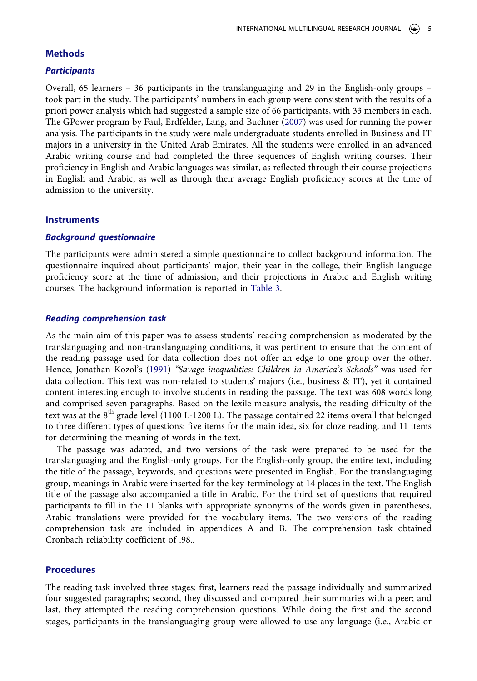#### **Methods**

#### *Participants*

<span id="page-6-0"></span>Overall, 65 learners – 36 participants in the translanguaging and 29 in the English-only groups – took part in the study. The participants' numbers in each group were consistent with the results of a priori power analysis which had suggested a sample size of 66 participants, with 33 members in each. The GPower program by Faul, Erdfelder, Lang, and Buchner ([2007](#page-11-24)) was used for running the power analysis. The participants in the study were male undergraduate students enrolled in Business and IT majors in a university in the United Arab Emirates. All the students were enrolled in an advanced Arabic writing course and had completed the three sequences of English writing courses. Their proficiency in English and Arabic languages was similar, as reflected through their course projections in English and Arabic, as well as through their average English proficiency scores at the time of admission to the university.

#### **Instruments**

#### *Background questionnaire*

The participants were administered a simple questionnaire to collect background information. The questionnaire inquired about participants' major, their year in the college, their English language proficiency score at the time of admission, and their projections in Arabic and English writing courses. The background information is reported in [Table 3.](#page-8-0)

#### *Reading comprehension task*

<span id="page-6-1"></span>As the main aim of this paper was to assess students' reading comprehension as moderated by the translanguaging and non-translanguaging conditions, it was pertinent to ensure that the content of the reading passage used for data collection does not offer an edge to one group over the other. Hence, Jonathan Kozol's ([1991](#page-11-25)) *"Savage inequalities: Children in America's Schools"* was used for data collection. This text was non-related to students' majors (i.e., business & IT), yet it contained content interesting enough to involve students in reading the passage. The text was 608 words long and comprised seven paragraphs. Based on the lexile measure analysis, the reading difficulty of the text was at the 8<sup>th</sup> grade level (1100 L-1200 L). The passage contained 22 items overall that belonged to three different types of questions: five items for the main idea, six for cloze reading, and 11 items for determining the meaning of words in the text.

The passage was adapted, and two versions of the task were prepared to be used for the translanguaging and the English-only groups. For the English-only group, the entire text, including the title of the passage, keywords, and questions were presented in English. For the translanguaging group, meanings in Arabic were inserted for the key-terminology at 14 places in the text. The English title of the passage also accompanied a title in Arabic. For the third set of questions that required participants to fill in the 11 blanks with appropriate synonyms of the words given in parentheses, Arabic translations were provided for the vocabulary items. The two versions of the reading comprehension task are included in appendices A and B. The comprehension task obtained Cronbach reliability coefficient of .98..

#### **Procedures**

The reading task involved three stages: first, learners read the passage individually and summarized four suggested paragraphs; second, they discussed and compared their summaries with a peer; and last, they attempted the reading comprehension questions. While doing the first and the second stages, participants in the translanguaging group were allowed to use any language (i.e., Arabic or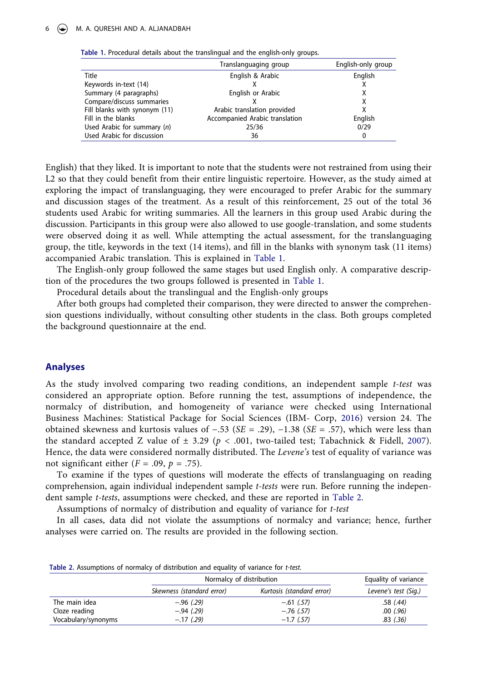<span id="page-7-0"></span>

|  |  |  | Table 1. Procedural details about the translingual and the english-only groups. |
|--|--|--|---------------------------------------------------------------------------------|
|--|--|--|---------------------------------------------------------------------------------|

|                               | Translanguaging group          | English-only group |  |
|-------------------------------|--------------------------------|--------------------|--|
| Title                         | English & Arabic               | English            |  |
| Keywords in-text (14)         |                                |                    |  |
| Summary (4 paragraphs)        | English or Arabic              | х                  |  |
| Compare/discuss summaries     |                                |                    |  |
| Fill blanks with synonym (11) | Arabic translation provided    |                    |  |
| Fill in the blanks            | Accompanied Arabic translation | English            |  |
| Used Arabic for summary $(n)$ | 25/36                          | 0/29               |  |
| Used Arabic for discussion    | 36                             | 0                  |  |

English) that they liked. It is important to note that the students were not restrained from using their L2 so that they could benefit from their entire linguistic repertoire. However, as the study aimed at exploring the impact of translanguaging, they were encouraged to prefer Arabic for the summary and discussion stages of the treatment. As a result of this reinforcement, 25 out of the total 36 students used Arabic for writing summaries. All the learners in this group used Arabic during the discussion. Participants in this group were also allowed to use google-translation, and some students were observed doing it as well. While attempting the actual assessment, for the translanguaging group, the title, keywords in the text (14 items), and fill in the blanks with synonym task (11 items) accompanied Arabic translation. This is explained in [Table 1](#page-7-0).

The English-only group followed the same stages but used English only. A comparative description of the procedures the two groups followed is presented in [Table 1](#page-7-0).

Procedural details about the translingual and the English-only groups

After both groups had completed their comparison, they were directed to answer the comprehension questions individually, without consulting other students in the class. Both groups completed the background questionnaire at the end.

#### **Analyses**

<span id="page-7-2"></span>As the study involved comparing two reading conditions, an independent sample *t-test* was considered an appropriate option. Before running the test, assumptions of independence, the normalcy of distribution, and homogeneity of variance were checked using International Business Machines: Statistical Package for Social Sciences (IBM- Corp, [2016\)](#page-11-26) version 24. The obtained skewness and kurtosis values of −.53 (*SE* = .29), −1.38 (*SE* = .57), which were less than the standard accepted Z value of  $\pm$  3.29 ( $p < .001$ , two-tailed test; Tabachnick & Fidell, [2007](#page-12-21)). Hence, the data were considered normally distributed. The *Levene's* test of equality of variance was not significant either  $(F = .09, p = .75)$ .

<span id="page-7-3"></span>To examine if the types of questions will moderate the effects of translanguaging on reading comprehension, again individual independent sample *t-tests* were run. Before running the independent sample *t-tests*, assumptions were checked, and these are reported in [Table 2.](#page-7-1)

Assumptions of normalcy of distribution and equality of variance for *t-test*

In all cases, data did not violate the assumptions of normalcy and variance; hence, further analyses were carried on. The results are provided in the following section.

<span id="page-7-1"></span>

| Table 2. Assumptions of normalcy of distribution and equality of variance for t-test. |  |  |  |  |  |
|---------------------------------------------------------------------------------------|--|--|--|--|--|
|---------------------------------------------------------------------------------------|--|--|--|--|--|

|                     | Normalcy of distribution  |                           | Equality of variance |
|---------------------|---------------------------|---------------------------|----------------------|
|                     | Skewness (standard error) | Kurtosis (standard error) | Levene's test (Sig.) |
| The main idea       | $-.96(.29)$               | $-.61$ (.57)              | .58(.44)             |
| Cloze reading       | $-.94$ (.29)              | $-.76$ (.57)              | $.00$ $(.96)$        |
| Vocabulary/synonyms | $-.17$ (.29)              | $-1.7$ (.57)              | $.83$ $(.36)$        |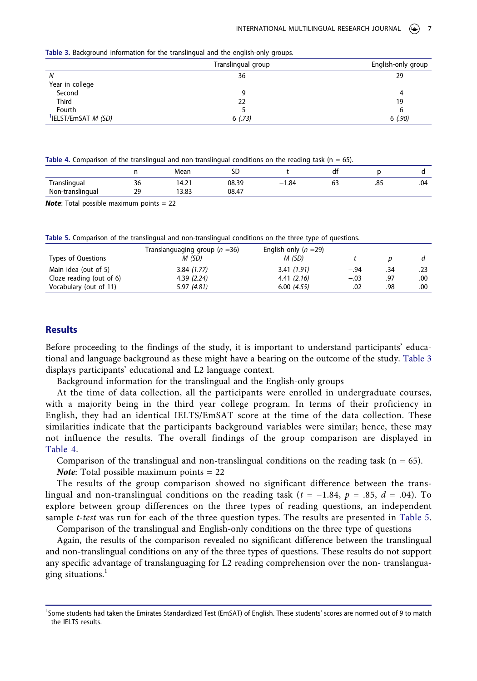<span id="page-8-0"></span>

| Table 3. Background information for the translingual and the english-only groups. |  |  |
|-----------------------------------------------------------------------------------|--|--|
|                                                                                   |  |  |

|                                        | Translingual group | English-only group |
|----------------------------------------|--------------------|--------------------|
| N                                      | 36                 | 29                 |
| Year in college                        |                    |                    |
| Second                                 | q                  | 4                  |
| <b>Third</b>                           | 22                 | 19                 |
| Fourth                                 |                    |                    |
| <sup>1</sup> IELST/EmSAT <i>M (SD)</i> | 6(.73)             | 6(.90)             |

<span id="page-8-1"></span>Table 4. Comparison of the translingual and non-translingual conditions on the reading task (n = 65).

|                         |    | Mear           | cr<br>יר |              | df        |     |     |
|-------------------------|----|----------------|----------|--------------|-----------|-----|-----|
| <br><b>Translingual</b> | 36 | $\sim$<br>14.2 | 08.39    | 1.84<br>$-1$ | - -<br>63 | .85 | .04 |
| Non-translingual        | 29 | 13.83          | 08.47    |              |           |     |     |

*Note*: Total possible maximum points = 22

<span id="page-8-2"></span>**Table 5.** Comparison of the translingual and non-translingual conditions on the three type of questions.

|                          | Translanguaging group ( $n = 36$ ) | English-only $(n = 29)$ |        |     |     |
|--------------------------|------------------------------------|-------------------------|--------|-----|-----|
| Types of Questions       | M (SD)                             | M (SD)                  |        |     |     |
| Main idea (out of 5)     | 3.84(1.77)                         | 3.41(1.91)              | $-.94$ | .34 | .23 |
| Cloze reading (out of 6) | 4.39(2.24)                         | 4.41(2.16)              | $-.03$ | .97 | .00 |
| Vocabulary (out of 11)   | 5.97(4.81)                         | 6.00(4.55)              | .02    | .98 | .00 |

#### **Results**

Before proceeding to the findings of the study, it is important to understand participants' educational and language background as these might have a bearing on the outcome of the study. [Table 3](#page-8-0) displays participants' educational and L2 language context.

Background information for the translingual and the English-only groups

At the time of data collection, all the participants were enrolled in undergraduate courses, with a majority being in the third year college program. In terms of their proficiency in English, they had an identical IELTS/EmSAT score at the time of the data collection. These similarities indicate that the participants background variables were similar; hence, these may not influence the results. The overall findings of the group comparison are displayed in [Table 4](#page-8-1).

Comparison of the translingual and non-translingual conditions on the reading task  $(n = 65)$ .

*Note*: Total possible maximum points = 22

The results of the group comparison showed no significant difference between the translingual and non-translingual conditions on the reading task (*t* = −1.84, *p* = .85, *d* = .04). To explore between group differences on the three types of reading questions, an independent sample *t-test* was run for each of the three question types. The results are presented in [Table 5.](#page-8-2)

Comparison of the translingual and English-only conditions on the three type of questions

Again, the results of the comparison revealed no significant difference between the translingual and non-translingual conditions on any of the three types of questions. These results do not support any specific advantage of translanguaging for L2 reading comprehension over the non- translanguaging situations.<sup>1</sup>

<sup>&</sup>lt;sup>1</sup>Some students had taken the Emirates Standardized Test (EmSAT) of English. These students' scores are normed out of 9 to match the IELTS results.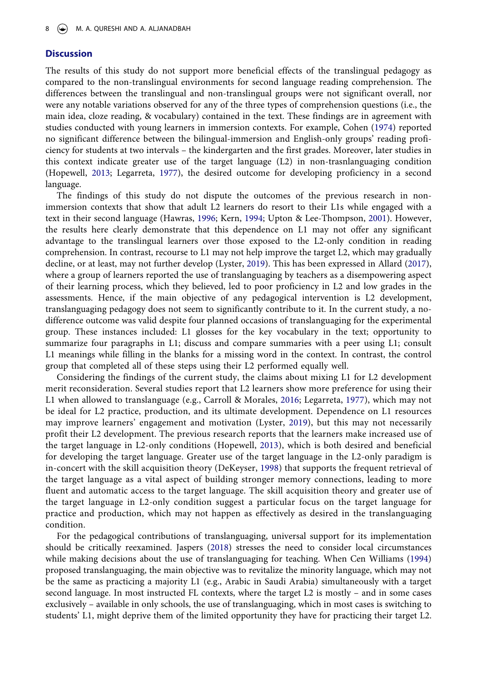#### **Discussion**

The results of this study do not support more beneficial effects of the translingual pedagogy as compared to the non-translingual environments for second language reading comprehension. The differences between the translingual and non-translingual groups were not significant overall, nor were any notable variations observed for any of the three types of comprehension questions (i.e., the main idea, cloze reading, & vocabulary) contained in the text. These findings are in agreement with studies conducted with young learners in immersion contexts. For example, Cohen ([1974\)](#page-11-21) reported no significant difference between the bilingual-immersion and English-only groups' reading proficiency for students at two intervals – the kindergarten and the first grades. Moreover, later studies in this context indicate greater use of the target language (L2) in non-trasnlanguaging condition (Hopewell, [2013](#page-11-23); Legarreta, [1977\)](#page-11-22), the desired outcome for developing proficiency in a second language.

The findings of this study do not dispute the outcomes of the previous research in nonimmersion contexts that show that adult L2 learners do resort to their L1s while engaged with a text in their second language (Hawras, [1996;](#page-11-17) Kern, [1994;](#page-11-18) Upton & Lee-Thompson, [2001\)](#page-12-19). However, the results here clearly demonstrate that this dependence on L1 may not offer any significant advantage to the translingual learners over those exposed to the L2-only condition in reading comprehension. In contrast, recourse to L1 may not help improve the target L2, which may gradually decline, or at least, may not further develop (Lyster, [2019\)](#page-12-5). This has been expressed in Allard [\(2017](#page-10-1)), where a group of learners reported the use of translanguaging by teachers as a disempowering aspect of their learning process, which they believed, led to poor proficiency in L2 and low grades in the assessments. Hence, if the main objective of any pedagogical intervention is L2 development, translanguaging pedagogy does not seem to significantly contribute to it. In the current study, a nodifference outcome was valid despite four planned occasions of translanguaging for the experimental group. These instances included: L1 glosses for the key vocabulary in the text; opportunity to summarize four paragraphs in L1; discuss and compare summaries with a peer using L1; consult L1 meanings while filling in the blanks for a missing word in the context. In contrast, the control group that completed all of these steps using their L2 performed equally well.

Considering the findings of the current study, the claims about mixing L1 for L2 development merit reconsideration. Several studies report that L2 learners show more preference for using their L1 when allowed to translanguage (e.g., Carroll & Morales, [2016](#page-10-2); Legarreta, [1977\)](#page-11-22), which may not be ideal for L2 practice, production, and its ultimate development. Dependence on L1 resources may improve learners' engagement and motivation (Lyster, [2019\)](#page-12-5), but this may not necessarily profit their L2 development. The previous research reports that the learners make increased use of the target language in L2-only conditions (Hopewell, [2013](#page-11-23)), which is both desired and beneficial for developing the target language. Greater use of the target language in the L2-only paradigm is in-concert with the skill acquisition theory (DeKeyser, [1998\)](#page-11-27) that supports the frequent retrieval of the target language as a vital aspect of building stronger memory connections, leading to more fluent and automatic access to the target language. The skill acquisition theory and greater use of the target language in L2-only condition suggest a particular focus on the target language for practice and production, which may not happen as effectively as desired in the translanguaging condition.

<span id="page-9-1"></span><span id="page-9-0"></span>For the pedagogical contributions of translanguaging, universal support for its implementation should be critically reexamined. Jaspers [\(2018\)](#page-11-28) stresses the need to consider local circumstances while making decisions about the use of translanguaging for teaching. When Cen Williams [\(1994\)](#page-12-7) proposed translanguaging, the main objective was to revitalize the minority language, which may not be the same as practicing a majority L1 (e.g., Arabic in Saudi Arabia) simultaneously with a target second language. In most instructed FL contexts, where the target L2 is mostly – and in some cases exclusively – available in only schools, the use of translanguaging, which in most cases is switching to students' L1, might deprive them of the limited opportunity they have for practicing their target L2.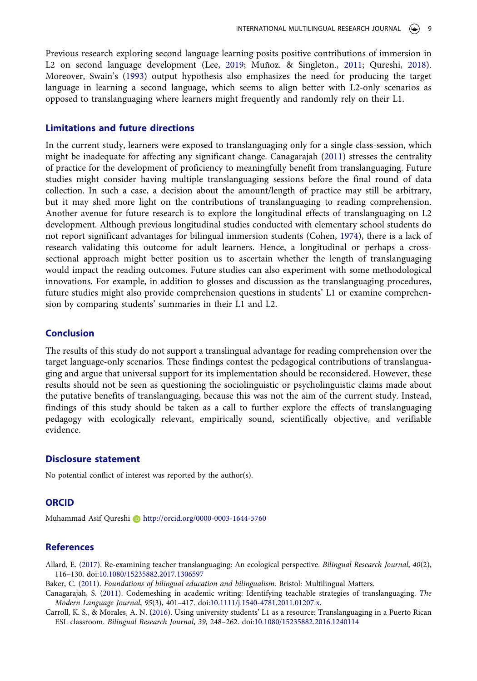<span id="page-10-6"></span><span id="page-10-5"></span>Previous research exploring second language learning posits positive contributions of immersion in L2 on second language development (Lee, [2019;](#page-11-29) Muñoz. & Singleton., [2011;](#page-12-10) Qureshi, [2018](#page-12-22)). Moreover, Swain's ([1993](#page-12-23)) output hypothesis also emphasizes the need for producing the target language in learning a second language, which seems to align better with L2-only scenarios as opposed to translanguaging where learners might frequently and randomly rely on their L1.

#### **Limitations and future directions**

<span id="page-10-4"></span>In the current study, learners were exposed to translanguaging only for a single class-session, which might be inadequate for affecting any significant change. Canagarajah ([2011\)](#page-10-3) stresses the centrality of practice for the development of proficiency to meaningfully benefit from translanguaging. Future studies might consider having multiple translanguaging sessions before the final round of data collection. In such a case, a decision about the amount/length of practice may still be arbitrary, but it may shed more light on the contributions of translanguaging to reading comprehension. Another avenue for future research is to explore the longitudinal effects of translanguaging on L2 development. Although previous longitudinal studies conducted with elementary school students do not report significant advantages for bilingual immersion students (Cohen, [1974\)](#page-11-21), there is a lack of research validating this outcome for adult learners. Hence, a longitudinal or perhaps a crosssectional approach might better position us to ascertain whether the length of translanguaging would impact the reading outcomes. Future studies can also experiment with some methodological innovations. For example, in addition to glosses and discussion as the translanguaging procedures, future studies might also provide comprehension questions in students' L1 or examine comprehension by comparing students' summaries in their L1 and L2.

### **Conclusion**

The results of this study do not support a translingual advantage for reading comprehension over the target language-only scenarios. These findings contest the pedagogical contributions of translanguaging and argue that universal support for its implementation should be reconsidered. However, these results should not be seen as questioning the sociolinguistic or psycholinguistic claims made about the putative benefits of translanguaging, because this was not the aim of the current study. Instead, findings of this study should be taken as a call to further explore the effects of translanguaging pedagogy with ecologically relevant, empirically sound, scientifically objective, and verifiable evidence.

#### **Disclosure statement**

No potential conflict of interest was reported by the author(s).

#### **ORCID**

Muhammad Asif Qureshi **b** http://orcid.org/0000-0003-1644-5760

#### **References**

- <span id="page-10-1"></span>Allard, E. ([2017\)](#page-4-0). Re-examining teacher translanguaging: An ecological perspective. *Bilingual Research Journal*, *40*(2), 116–130. doi:[10.1080/15235882.2017.1306597](https://doi.org/10.1080/15235882.2017.1306597)
- <span id="page-10-0"></span>Baker, C. ([2011](#page-4-1)). *Foundations of bilingual education and bilingualism*. Bristol: Multilingual Matters.
- <span id="page-10-3"></span>Canagarajah, S. ([2011\)](#page-10-4). Codemeshing in academic writing: Identifying teachable strategies of translanguaging. *The Modern Language Journal*, *95*(3), 401–417. doi:[10.1111/j.1540-4781.2011.01207.x.](https://doi.org/10.1111/j.1540-4781.2011.01207.x)
- <span id="page-10-2"></span>Carroll, K. S., & Morales, A. N. ([2016](#page-5-0)). Using university students' L1 as a resource: Translanguaging in a Puerto Rican ESL classroom. *Bilingual Research Journal*, *39*, 248–262. doi:[10.1080/15235882.2016.1240114](https://doi.org/10.1080/15235882.2016.1240114)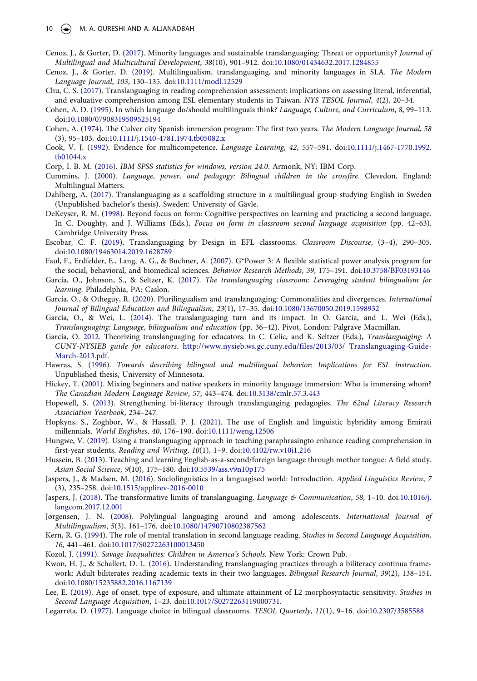- <span id="page-11-2"></span>Cenoz, J., & Gorter, D. ([2017\)](#page-2-1). Minority languages and sustainable translanguaging: Threat or opportunity? *Journal of Multilingual and Multicultural Development*, *38*(10), 901–912. doi:[10.1080/01434632.2017.1284855](https://doi.org/10.1080/01434632.2017.1284855)
- <span id="page-11-4"></span>Cenoz, J., & Gorter, D. [\(2019\)](#page-3-0). Multilingualism, translanguaging, and minority languages in SLA. *The Modern Language Journal*, *103*, 130–135. doi:[10.1111/modl.12529](https://doi.org/10.1111/modl.12529)
- <span id="page-11-19"></span>Chu, C. S. ([2017](#page-5-1)). Translanguaging in reading comprehension assessment: implications on assessing literal, inferential, and evaluative comprehension among ESL elementary students in Taiwan. *NYS TESOL Journal*, *4*(2), 20–34.
- <span id="page-11-15"></span>Cohen, A. D. [\(1995\)](#page-4-2). In which language do/should multilinguals think*? Language, Culture, and Curriculum*, *8*, 99–113. doi:[10.1080/07908319509525194](https://doi.org/10.1080/07908319509525194)
- <span id="page-11-21"></span>Cohen, A. [\(1974\)](#page-5-2). The Culver city Spanish immersion program: The first two years. *The Modern Language Journal*, *58*  (3), 95–103. doi:[10.1111/j.1540-4781.1974.tb05082.x](https://doi.org/10.1111/j.1540-4781.1974.tb05082.x)
- <span id="page-11-14"></span>Cook, V. J. [\(1992](#page-4-3)). Evidence for multicompetence. *Language Learning*, *42*, 557–591. doi:[10.1111/j.1467-1770.1992.](https://doi.org/10.1111/j.1467-1770.1992.tb01044.x) [tb01044.x](https://doi.org/10.1111/j.1467-1770.1992.tb01044.x)
- <span id="page-11-26"></span>Corp, I. B. M. [\(2016](#page-7-2)). *IBM SPSS statistics for windows, version 24.0*. Armonk, NY: IBM Corp.
- <span id="page-11-13"></span>Cummins, J. ([2000](#page-4-4)). *Language, power, and pedagogy: Bilingual children in the crossfire*. Clevedon, England: Multilingual Matters.
- <span id="page-11-11"></span>Dahlberg, A. [\(2017\)](#page-4-5). Translanguaging as a scaffolding structure in a multilingual group studying English in Sweden (Unpublished bachelor's thesis). Sweden: University of Gävle.
- <span id="page-11-27"></span>DeKeyser, R. M. [\(1998\)](#page-9-0). Beyond focus on form: Cognitive perspectives on learning and practicing a second language. In C. Doughty, and J. Williams (Eds.), *Focus on form in classroom second language acquisition* (pp. 42-63). Cambridge University Press.
- <span id="page-11-1"></span>Escobar, C. F. [\(2019](#page-2-2)). Translanguaging by Design in EFL classrooms. *Classroom Discourse*, (3–4), 290–305. doi:[10.1080/19463014.2019.1628789](https://doi.org/10.1080/19463014.2019.1628789)
- <span id="page-11-24"></span>Faul, F., Erdfelder, E., Lang, A. G., & Buchner, A. [\(2007](#page-6-0)). G\*Power 3: A flexible statistical power analysis program for the social, behavioral, and biomedical sciences. *Behavior Research Methods*, *39*, 175–191. doi:[10.3758/BF03193146](https://doi.org/10.3758/BF03193146)
- <span id="page-11-10"></span>García, O., Johnson, S., & Seltzer, K. [\(2017\)](#page-4-6). *The translanguaging classroom: Leveraging student bilingualism for learning*. Philadelphia, PA: Caslon.
- <span id="page-11-3"></span>García, O., & Otheguy, R. ([2020](#page-3-1)). Plurilingualism and translanguaging: Commonalities and divergences. *International Journal of Bilingual Education and Bilingualism*, *23*(1), 17–35. doi:[10.1080/13670050.2019.1598932](https://doi.org/10.1080/13670050.2019.1598932)
- <span id="page-11-9"></span>García, O., & Wei, L. ([2014\)](#page-3-2). The translanguaging turn and its impact. In O. García, and L. Wei (Eds.), *Translanguaging: Language, bilingualism and education* (pp. 36–42). Pivot, London: Palgrave Macmillan.
- <span id="page-11-7"></span>García, O. [2012](#page-3-3). Theorizing translanguaging for educators. In C. Celic, and K. Seltzer (Eds.), *Translanguaging: A CUNY-NYSIEB guide for educators*. [http://www.nysieb.ws.gc.cuny.edu/files/2013/03/ Translanguaging-Guide-](http://www.nysieb.ws.gc.cuny.edu/files/2013/03/%26#x00A0;Translanguaging-Guide-March-2013.pdf)[March-2013.pdf](http://www.nysieb.ws.gc.cuny.edu/files/2013/03/%26#x00A0;Translanguaging-Guide-March-2013.pdf).
- <span id="page-11-17"></span>Hawras, S. [\(1996\)](#page-5-1). *Towards describing bilingual and multilingual behavior: Implications for ESL instruction*. Unpublished thesis, University of Minnesota.
- <span id="page-11-5"></span>Hickey, T. [\(2001\)](#page-3-4). Mixing beginners and native speakers in minority language immersion: Who is immersing whom? *The Canadian Modern Language Review*, *57*, 443–474. doi:[10.3138/cmlr.57.3.443](https://doi.org/10.3138/cmlr.57.3.443)
- <span id="page-11-23"></span>Hopewell, S. ([2013](#page-5-3)). Strengthening bi-literacy through translanguaging pedagogies. *The 62nd Literacy Research Association Yearbook*, 234–247.
- <span id="page-11-0"></span>Hopkyns, S., Zoghbor, W., & Hassall, P. J. [\(2021](#page-2-3)). The use of English and linguistic hybridity among Emirati millennials. *World Englishes*, *40*, 176–190. doi:[10.1111/weng.12506](https://doi.org/10.1111/weng.12506)
- <span id="page-11-20"></span>Hungwe, V. ([2019](#page-5-4)). Using a translanguaging approach in teaching paraphrasingto enhance reading comprehension in first-year students. *Reading and Writing*, *10*(1), 1–9. doi:[10.4102/rw.v10i1.216](https://doi.org/10.4102/rw.v10i1.216)
- <span id="page-11-16"></span>Hussein, B. ([2013](#page-5-5)). Teaching and learning English-as-a-second/foreign language through mother tongue: A field study. *Asian Social Science*, *9*(10), 175–180. doi:[10.5539/ass.v9n10p175](https://doi.org/10.5539/ass.v9n10p175)
- <span id="page-11-6"></span>Jaspers, J., & Madsen, M. ([2016\)](#page-3-2). Sociolinguistics in a languagised world: Introduction. *Applied Linguistics Review*, *7*  (3), 235–258. doi:[10.1515/applirev-2016-0010](https://doi.org/10.1515/applirev-2016-0010)
- <span id="page-11-28"></span>Jaspers, J. [\(2018](#page-9-1)). The transformative limits of translanguaging. *Language & Communication*, *58*, 1–10. doi:[10.1016/j.](https://doi.org/10.1016/j.langcom.2017.12.001)  [langcom.2017.12.001](https://doi.org/10.1016/j.langcom.2017.12.001)
- <span id="page-11-8"></span>Jørgensen, J. N. ([2008](#page-3-5)). Polylingual languaging around and among adolescents. *International Journal of Multilingualism*, *5*(3), 161–176. doi:[10.1080/14790710802387562](https://doi.org/10.1080/14790710802387562)
- <span id="page-11-18"></span>Kern, R. G. [\(1994\)](#page-5-4). The role of mental translation in second language reading. *Studies in Second Language Acquisition*, *16*, 441–461. doi:[10.1017/S0272263100013450](https://doi.org/10.1017/S0272263100013450)
- <span id="page-11-25"></span>Kozol, J. [\(1991\)](#page-6-1). *Savage Inequalities: Children in America's Schools*. New York: Crown Pub.
- <span id="page-11-12"></span>Kwon, H. J., & Schallert, D. L. ([2016](#page-4-7)). Understanding translanguaging practices through a biliteracy continua framework: Adult biliterates reading academic texts in their two languages. *Bilingual Research Journal*, *39*(2), 138–151. doi:[10.1080/15235882.2016.1167139](https://doi.org/10.1080/15235882.2016.1167139)
- <span id="page-11-29"></span>Lee, E. [\(2019\)](#page-10-5). Age of onset, type of exposure, and ultimate attainment of L2 morphosyntactic sensitivity. *Studies in Second Language Acquisition*, 1–23. doi:[10.1017/S0272263119000731.](https://doi.org/10.1017/S0272263119000731)
- <span id="page-11-22"></span>Legarreta, D. ([1977](#page-5-6)). Language choice in bilingual classrooms. *TESOL Quarterly*, *11*(1), 9–16. doi:[10.2307/3585588](https://doi.org/10.2307/3585588)